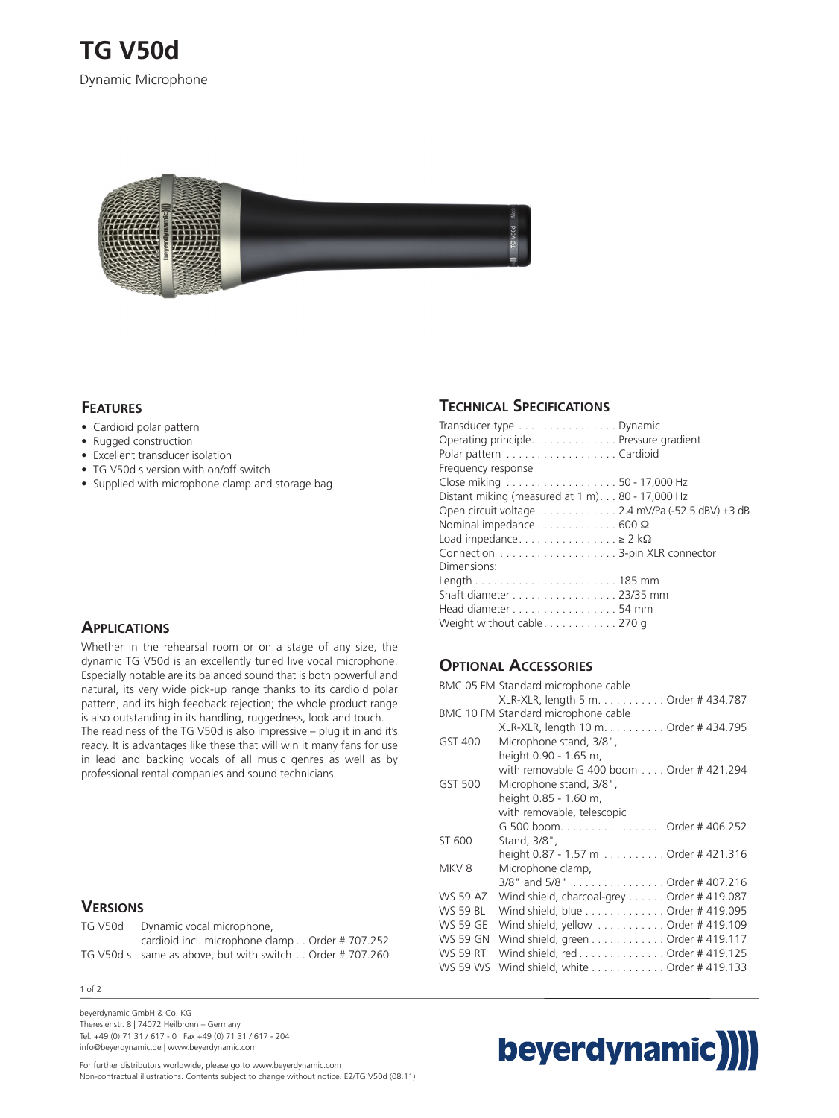

## **FEATURES**

- Cardioid polar pattern
- Rugged construction
- Excellent transducer isolation
- TG V50d s version with on/off switch
- Supplied with microphone clamp and storage bag

#### **APPLICATIONS**

Whether in the rehearsal room or on a stage of any size, the dynamic TG V50d is an excellently tuned live vocal microphone. Especially notable are its balanced sound that is both powerful and natural, its very wide pick-up range thanks to its cardioid polar pattern, and its high feedback rejection; the whole product range is also outstanding in its handling, ruggedness, look and touch. The readiness of the TG V50d is also impressive – plug it in and it's ready. It is advantages like these that will win it many fans for use in lead and backing vocals of all music genres as well as by professional rental companies and sound technicians.

## **VERSIONS**

| TG V50d | Dynamic vocal microphone,                               |
|---------|---------------------------------------------------------|
|         | cardioid incl. microphone clamp Order #707.252          |
|         | TG V50d s same as above, but with switch Order #707.260 |

1 of 2

beyerdynamic GmbH & Co. KG Theresienstr. 8 | 74072 Heilbronn – Germany Tel. +49 (0) 71 31 / 617 - 0 | Fax +49 (0) 71 31 / 617 - 204 info@beyerdynamic.de | www.beyerdynamic.com

## For further distributors worldwide, please go to www.beyerdynamic.com

Non-contractual illustrations. Contents subject to change without notice. E2/TG V50d (08.11)

## **TECHNICAL SPECIFICATIONS**

| Transducer type Dynamic                                  |  |  |
|----------------------------------------------------------|--|--|
| Operating principle. Pressure gradient                   |  |  |
| Polar pattern Cardioid                                   |  |  |
| Frequency response                                       |  |  |
| Close miking 50 - 17,000 Hz                              |  |  |
| Distant miking (measured at 1 m) 80 - 17,000 Hz          |  |  |
| Open circuit voltage 2.4 mV/Pa (-52.5 dBV) ±3 dB         |  |  |
| Nominal impedance $\dots \dots \dots \dots$ 600 $\Omega$ |  |  |
| Load impedance $\geq 2$ k $\Omega$                       |  |  |
|                                                          |  |  |
| Dimensions:                                              |  |  |
|                                                          |  |  |
| Shaft diameter 23/35 mm                                  |  |  |
| Head diameter 54 mm                                      |  |  |
| Weight without cable $\dots\dots\dots\dots$ 270 g        |  |  |

## **OPTIONAL ACCESSORIES**

|                 | BMC 05 FM Standard microphone cable        |
|-----------------|--------------------------------------------|
|                 | XLR-XLR, length 5 m. Order # 434.787       |
|                 | BMC 10 FM Standard microphone cable        |
|                 | XLR-XLR, length 10 m. Order # 434.795      |
| GST 400         | Microphone stand, 3/8",                    |
|                 | height 0.90 - 1.65 m,                      |
|                 | with removable G 400 boom Order # 421.294  |
| GST 500         | Microphone stand, 3/8",                    |
|                 | height 0.85 - 1.60 m,                      |
|                 | with removable, telescopic                 |
|                 | G 500 boomOrder # 406.252                  |
| ST 600          | Stand, 3/8",                               |
|                 | height 0.87 - 1.57 m Order # 421.316       |
| MKV8            | Microphone clamp,                          |
|                 | 3/8" and 5/8" Order # 407.216              |
| WS 59 AZ        | Wind shield, charcoal-grey Order # 419.087 |
| <b>WS 59 BL</b> | Wind shield, blue Order # 419.095          |
| <b>WS 59 GE</b> | Wind shield, yellow Order # 419.109        |
| <b>WS 59 GN</b> | Wind shield, green Order # 419.117         |
| <b>WS 59 RT</b> | Wind shield, red Order # 419.125           |
| <b>WS 59 WS</b> | Wind shield, white Order # 419.133         |